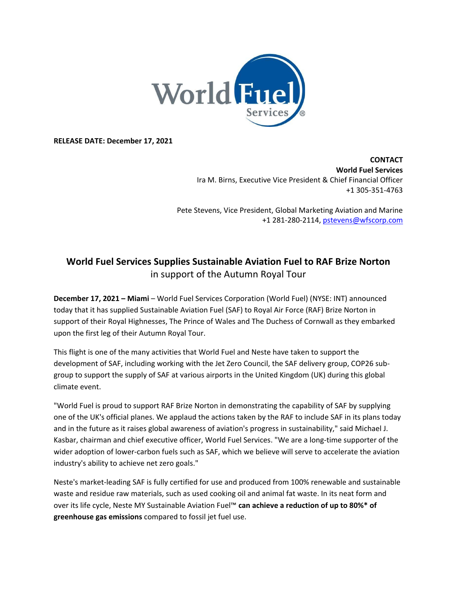

**RELEASE DATE: December 17, 2021**

**CONTACT World Fuel Services**  Ira M. Birns, Executive Vice President & Chief Financial Officer +1 305-351-4763

Pete Stevens, Vice President, Global Marketing Aviation and Marine +1 281-280-2114, [pstevens@wfscorp.com](mailto:pstevens@wfscorp.com)

## **World Fuel Services Supplies Sustainable Aviation Fuel to RAF Brize Norton**  in support of the Autumn Royal Tour

**December 17, 2021 – Miami** – World Fuel Services Corporation (World Fuel) (NYSE: INT) announced today that it has supplied Sustainable Aviation Fuel (SAF) to Royal Air Force (RAF) Brize Norton in support of their Royal Highnesses, The Prince of Wales and The Duchess of Cornwall as they embarked upon the first leg of their Autumn Royal Tour.

This flight is one of the many activities that World Fuel and Neste have taken to support the development of SAF, including working with the Jet Zero Council, the SAF delivery group, COP26 subgroup to support the supply of SAF at various airports in the United Kingdom (UK) during this global climate event.

"World Fuel is proud to support RAF Brize Norton in demonstrating the capability of SAF by supplying one of the UK's official planes. We applaud the actions taken by the RAF to include SAF in its plans today and in the future as it raises global awareness of aviation's progress in sustainability," said Michael J. Kasbar, chairman and chief executive officer, World Fuel Services. "We are a long-time supporter of the wider adoption of lower-carbon fuels such as SAF, which we believe will serve to accelerate the aviation industry's ability to achieve net zero goals."

Neste's market-leading SAF is fully certified for use and produced from 100% renewable and sustainable waste and residue raw materials, such as used cooking oil and animal fat waste. In its neat form and over its life cycle, Neste MY Sustainable Aviation Fuel™ **can achieve a reduction of up to 80%\* of greenhouse gas emissions** compared to fossil jet fuel use.